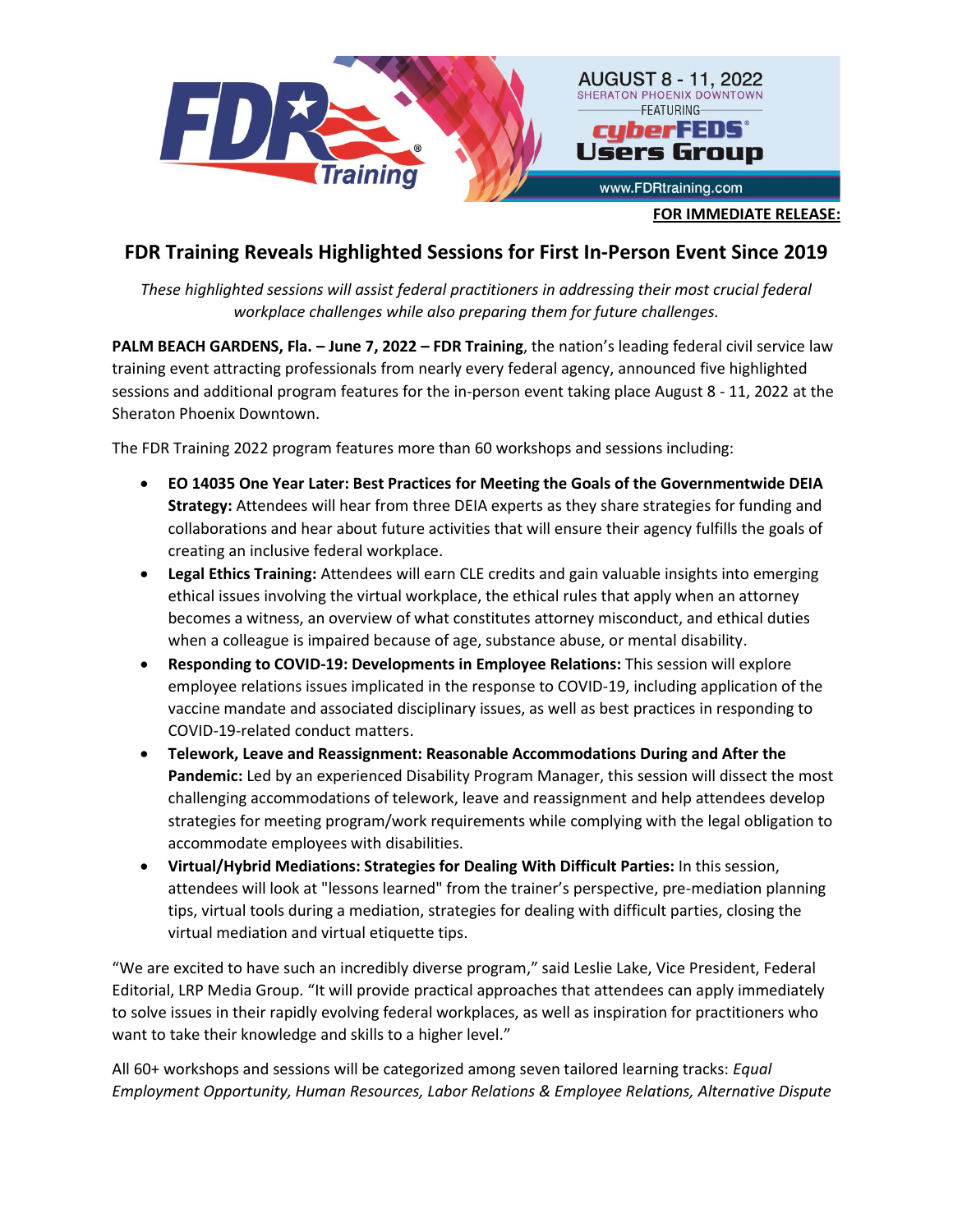

## **FDR Training Reveals Highlighted Sessions for First In-Person Event Since 2019**

*These highlighted sessions will assist federal practitioners in addressing their most crucial federal workplace challenges while also preparing them for future challenges.*

**PALM BEACH GARDENS, Fla. – June 7, 2022 – FDR Training**, the nation's leading federal civil service law training event attracting professionals from nearly every federal agency, announced five highlighted sessions and additional program features for the in-person event taking place August 8 - 11, 2022 at the Sheraton Phoenix Downtown.

The FDR Training 2022 program features more than 60 workshops and sessions including:

- **EO 14035 One Year Later: Best Practices for Meeting the Goals of the Governmentwide DEIA Strategy:** Attendees will hear from three DEIA experts as they share strategies for funding and collaborations and hear about future activities that will ensure their agency fulfills the goals of creating an inclusive federal workplace.
- **Legal Ethics Training:** Attendees will earn CLE credits and gain valuable insights into emerging ethical issues involving the virtual workplace, the ethical rules that apply when an attorney becomes a witness, an overview of what constitutes attorney misconduct, and ethical duties when a colleague is impaired because of age, substance abuse, or mental disability.
- **Responding to COVID-19: Developments in Employee Relations:** This session will explore employee relations issues implicated in the response to COVID-19, including application of the vaccine mandate and associated disciplinary issues, as well as best practices in responding to COVID-19-related conduct matters.
- **Telework, Leave and Reassignment: Reasonable Accommodations During and After the Pandemic:** Led by an experienced Disability Program Manager, this session will dissect the most challenging accommodations of telework, leave and reassignment and help attendees develop strategies for meeting program/work requirements while complying with the legal obligation to accommodate employees with disabilities.
- **Virtual/Hybrid Mediations: Strategies for Dealing With Difficult Parties:** In this session, attendees will look at "lessons learned" from the trainer's perspective, pre-mediation planning tips, virtual tools during a mediation, strategies for dealing with difficult parties, closing the virtual mediation and virtual etiquette tips.

"We are excited to have such an incredibly diverse program," said Leslie Lake, Vice President, Federal Editorial, LRP Media Group. "It will provide practical approaches that attendees can apply immediately to solve issues in their rapidly evolving federal workplaces, as well as inspiration for practitioners who want to take their knowledge and skills to a higher level."

All 60+ workshops and sessions will be categorized among seven tailored learning tracks: *Equal Employment Opportunity, Human Resources, Labor Relations & Employee Relations, Alternative Dispute*